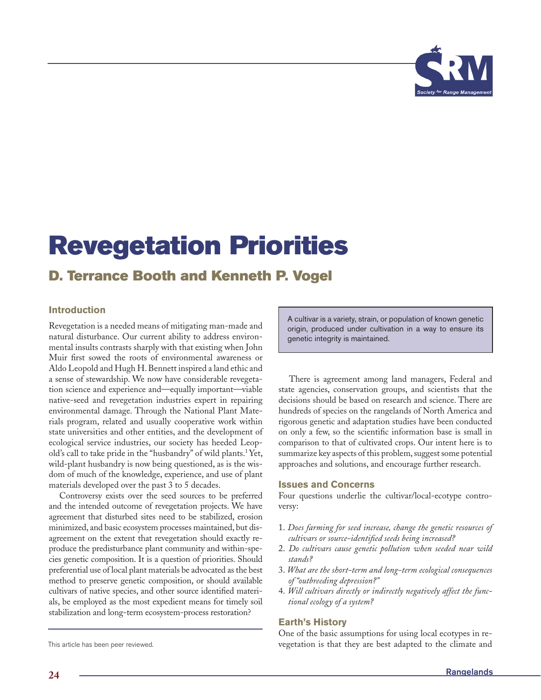

# **Revegetation Priorities**

# **D. Terrance Booth and Kenneth P. Vogel**

# **Introduction**

Revegetation is a needed means of mitigating man-made and natural disturbance. Our current ability to address environmental insults contrasts sharply with that existing when John Muir first sowed the roots of environmental awareness or Aldo Leopold and Hugh H. Bennett inspired a land ethic and a sense of stewardship. We now have considerable revegetation science and experience and—equally important—viable native-seed and revegetation industries expert in repairing environmental damage. Through the National Plant Materials program, related and usually cooperative work within state universities and other entities, and the development of ecological service industries, our society has heeded Leopold's call to take pride in the "husbandry" of wild plants.1 Yet, wild-plant husbandry is now being questioned, as is the wisdom of much of the knowledge, experience, and use of plant materials developed over the past 3 to 5 decades.

Controversy exists over the seed sources to be preferred and the intended outcome of revegetation projects. We have agreement that disturbed sites need to be stabilized, erosion minimized, and basic ecosystem processes maintained, but disagreement on the extent that revegetation should exactly reproduce the predisturbance plant community and within-species genetic composition. It is a question of priorities. Should preferential use of local plant materials be advocated as the best method to preserve genetic composition, or should available cultivars of native species, and other source identified materials, be employed as the most expedient means for timely soil stabilization and long-term ecosystem-process restoration?

A cultivar is a variety, strain, or population of known genetic origin, produced under cultivation in a way to ensure its genetic integrity is maintained.

There is agreement among land managers, Federal and state agencies, conservation groups, and scientists that the decisions should be based on research and science. There are hundreds of species on the rangelands of North America and rigorous genetic and adaptation studies have been conducted on only a few, so the scientific information base is small in comparison to that of cultivated crops. Our intent here is to summarize key aspects of this problem, suggest some potential approaches and solutions, and encourage further research.

#### **Issues and Concerns**

Four questions underlie the cultivar/local-ecotype controversy:

- 1. *Does farming for seed increase, change the genetic resources of*  cultivars or source-identified seeds being increased?
- 2. *Do cultivars cause genetic pollution when seeded near wild stands?*
- 3. *What are the short-term and long-term ecological consequences of "outbreeding depression?"*
- 4. *Will cultivars directly or indirectly negatively affect the functional ecology of a system?*

### **Earth's History**

One of the basic assumptions for using local ecotypes in revegetation is that they are best adapted to the climate and

This article has been peer reviewed.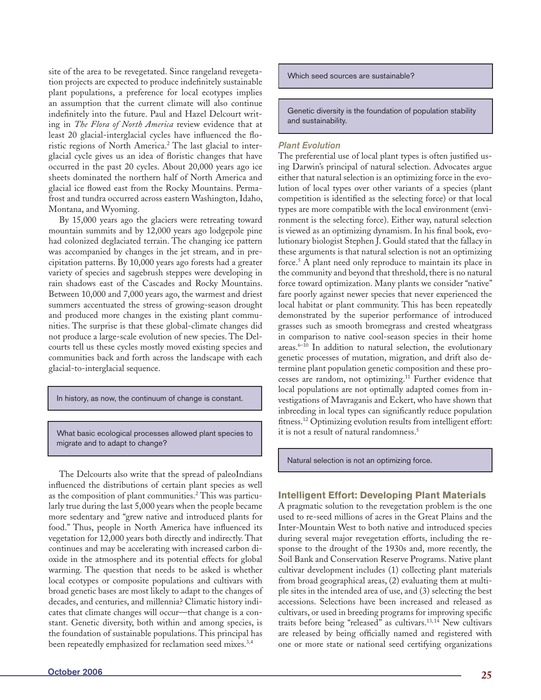site of the area to be revegetated. Since rangeland revegetation projects are expected to produce indefinitely sustainable plant populations, a preference for local ecotypes implies an assumption that the current climate will also continue indefinitely into the future. Paul and Hazel Delcourt writing in *The Flora of North America* review evidence that at least 20 glacial-interglacial cycles have influenced the floristic regions of North America.2 The last glacial to interglacial cycle gives us an idea of floristic changes that have occurred in the past 20 cycles. About 20,000 years ago ice sheets dominated the northern half of North America and glacial ice flowed east from the Rocky Mountains. Permafrost and tundra occurred across eastern Washington, Idaho, Montana, and Wyoming.

By 15,000 years ago the glaciers were retreating toward mountain summits and by 12,000 years ago lodgepole pine had colonized deglaciated terrain. The changing ice pattern was accompanied by changes in the jet stream, and in precipitation patterns. By 10,000 years ago forests had a greater variety of species and sagebrush steppes were developing in rain shadows east of the Cascades and Rocky Mountains. Between 10,000 and 7,000 years ago, the warmest and driest summers accentuated the stress of growing-season drought and produced more changes in the existing plant communities. The surprise is that these global-climate changes did not produce a large-scale evolution of new species. The Delcourts tell us these cycles mostly moved existing species and communities back and forth across the landscape with each glacial-to-interglacial sequence.

In history, as now, the continuum of change is constant.

What basic ecological processes allowed plant species to migrate and to adapt to change?

The Delcourts also write that the spread of paleoIndians influenced the distributions of certain plant species as well as the composition of plant communities.2 This was particularly true during the last 5,000 years when the people became more sedentary and "grew native and introduced plants for food." Thus, people in North America have influenced its vegetation for 12,000 years both directly and indirectly. That continues and may be accelerating with increased carbon dioxide in the atmosphere and its potential effects for global warming. The question that needs to be asked is whether local ecotypes or composite populations and cultivars with broad genetic bases are most likely to adapt to the changes of decades, and centuries, and millennia? Climatic history indicates that climate changes will occur—that change is a constant. Genetic diversity, both within and among species, is the foundation of sustainable populations. This principal has been repeatedly emphasized for reclamation seed mixes.<sup>3,4</sup>

Which seed sources are sustainable?

Genetic diversity is the foundation of population stability and sustainability.

#### *Plant Evolution*

The preferential use of local plant types is often justified using Darwin's principal of natural selection. Advocates argue either that natural selection is an optimizing force in the evolution of local types over other variants of a species (plant competition is identified as the selecting force) or that local types are more compatible with the local environment (environment is the selecting force). Either way, natural selection is viewed as an optimizing dynamism. In his final book, evolutionary biologist Stephen J. Gould stated that the fallacy in these arguments is that natural selection is not an optimizing force.5 A plant need only reproduce to maintain its place in the community and beyond that threshold, there is no natural force toward optimization. Many plants we consider "native" fare poorly against newer species that never experienced the local habitat or plant community. This has been repeatedly demonstrated by the superior performance of introduced grasses such as smooth bromegrass and crested wheatgrass in comparison to native cool-season species in their home areas.<sup>6-10</sup> In addition to natural selection, the evolutionary genetic processes of mutation, migration, and drift also determine plant population genetic composition and these processes are random, not optimizing.11 Further evidence that local populations are not optimally adapted comes from investigations of Mavraganis and Eckert, who have shown that inbreeding in local types can significantly reduce population fitness.<sup>12</sup> Optimizing evolution results from intelligent effort: it is not a result of natural randomness.<sup>5</sup>

Natural selection is not an optimizing force.

#### **Intelligent Effort: Developing Plant Materials**

A pragmatic solution to the revegetation problem is the one used to re-seed millions of acres in the Great Plains and the Inter-Mountain West to both native and introduced species during several major revegetation efforts, including the response to the drought of the 1930s and, more recently, the Soil Bank and Conservation Reserve Programs. Native plant cultivar development includes (1) collecting plant materials from broad geographical areas, (2) evaluating them at multiple sites in the intended area of use, and (3) selecting the best accessions. Selections have been increased and released as cultivars, or used in breeding programs for improving specific traits before being "released" as cultivars.<sup>13,14</sup> New cultivars are released by being officially named and registered with one or more state or national seed certifying organizations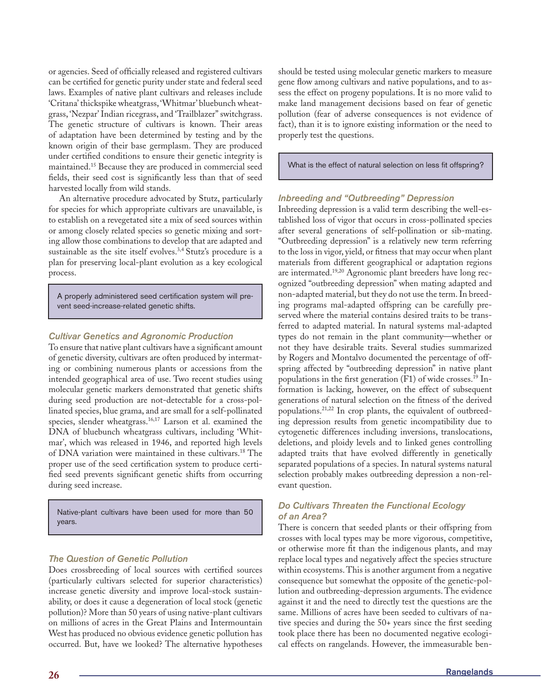or agencies. Seed of officially released and registered cultivars can be certified for genetic purity under state and federal seed laws. Examples of native plant cultivars and releases include 'Critana' thickspike wheatgrass, 'Whitmar' bluebunch wheatgrass, 'Nezpar' Indian ricegrass, and 'Trailblazer" switchgrass. The genetic structure of cultivars is known. Their areas of adaptation have been determined by testing and by the known origin of their base germplasm. They are produced under certified conditions to ensure their genetic integrity is maintained.15 Because they are produced in commercial seed fields, their seed cost is significantly less than that of seed harvested locally from wild stands.

An alternative procedure advocated by Stutz, particularly for species for which appropriate cultivars are unavailable, is to establish on a revegetated site a mix of seed sources within or among closely related species so genetic mixing and sorting allow those combinations to develop that are adapted and sustainable as the site itself evolves.<sup>3,4</sup> Stutz's procedure is a plan for preserving local-plant evolution as a key ecological process.

A properly administered seed certification system will prevent seed-increase-related genetic shifts.

# *Cultivar Genetics and Agronomic Production*

To ensure that native plant cultivars have a significant amount of genetic diversity, cultivars are often produced by intermating or combining numerous plants or accessions from the intended geographical area of use. Two recent studies using molecular genetic markers demonstrated that genetic shifts during seed production are not-detectable for a cross-pollinated species, blue grama, and are small for a self-pollinated species, slender wheatgrass.16,17 Larson et al. examined the DNA of bluebunch wheatgrass cultivars, including 'Whitmar', which was released in 1946, and reported high levels of DNA variation were maintained in these cultivars.18 The proper use of the seed certification system to produce certified seed prevents significant genetic shifts from occurring during seed increase.

Native-plant cultivars have been used for more than 50 years.

## *The Question of Genetic Pollution*

Does crossbreeding of local sources with certified sources (particularly cultivars selected for superior characteristics) increase genetic diversity and improve local-stock sustainability, or does it cause a degeneration of local stock (genetic pollution)? More than 50 years of using native-plant cultivars on millions of acres in the Great Plains and Intermountain West has produced no obvious evidence genetic pollution has occurred. But, have we looked? The alternative hypotheses should be tested using molecular genetic markers to measure gene flow among cultivars and native populations, and to assess the effect on progeny populations. It is no more valid to make land management decisions based on fear of genetic pollution (fear of adverse consequences is not evidence of fact), than it is to ignore existing information or the need to properly test the questions.

What is the effect of natural selection on less fit offspring?

#### *Inbreeding and "Outbreeding" Depression*

Inbreeding depression is a valid term describing the well-established loss of vigor that occurs in cross-pollinated species after several generations of self-pollination or sib-mating. "Outbreeding depression" is a relatively new term referring to the loss in vigor, yield, or fitness that may occur when plant materials from different geographical or adaptation regions are intermated.19,20 Agronomic plant breeders have long recognized "outbreeding depression" when mating adapted and non-adapted material, but they do not use the term. In breeding programs mal-adapted offspring can be carefully preserved where the material contains desired traits to be transferred to adapted material. In natural systems mal-adapted types do not remain in the plant community—whether or not they have desirable traits. Several studies summarized by Rogers and Montalvo documented the percentage of offspring affected by "outbreeding depression" in native plant populations in the first generation (F1) of wide crosses.<sup>19</sup> Information is lacking, however, on the effect of subsequent generations of natural selection on the fitness of the derived populations.21,22 In crop plants, the equivalent of outbreeding depression results from genetic incompatibility due to cytogenetic differences including inversions, translocations, deletions, and ploidy levels and to linked genes controlling adapted traits that have evolved differently in genetically separated populations of a species. In natural systems natural selection probably makes outbreeding depression a non-relevant question.

# *Do Cultivars Threaten the Functional Ecology of an Area?*

There is concern that seeded plants or their offspring from crosses with local types may be more vigorous, competitive, or otherwise more fit than the indigenous plants, and may replace local types and negatively affect the species structure within ecosystems. This is another argument from a negative consequence but somewhat the opposite of the genetic-pollution and outbreeding-depression arguments. The evidence against it and the need to directly test the questions are the same. Millions of acres have been seeded to cultivars of native species and during the 50+ years since the first seeding took place there has been no documented negative ecological effects on rangelands. However, the immeasurable ben-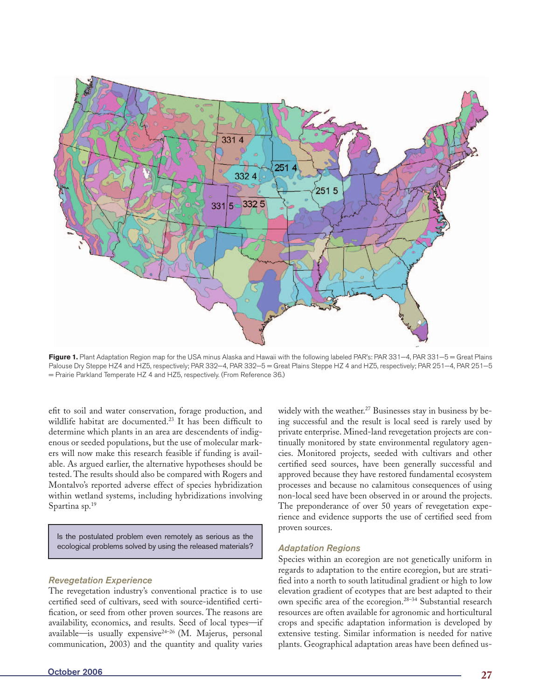

**Figure 1.** Plant Adaptation Region map for the USA minus Alaska and Hawaii with the following labeled PAR's: PAR 331–4, PAR 331–5 = Great Plains Palouse Dry Steppe HZ4 and HZ5, respectively; PAR 332–4, PAR 332–5 = Great Plains Steppe HZ 4 and HZ5, respectively; PAR 251–4, PAR 251–5 = Prairie Parkland Temperate HZ 4 and HZ5, respectively. (From Reference 36.)

efit to soil and water conservation, forage production, and wildlife habitat are documented.<sup>23</sup> It has been difficult to determine which plants in an area are descendents of indigenous or seeded populations, but the use of molecular markers will now make this research feasible if funding is available. As argued earlier, the alternative hypotheses should be tested. The results should also be compared with Rogers and Montalvo's reported adverse effect of species hybridization within wetland systems, including hybridizations involving Spartina sp.19

Is the postulated problem even remotely as serious as the ecological problems solved by using the released materials?

#### *Revegetation Experience*

The revegetation industry's conventional practice is to use certified seed of cultivars, seed with source-identified certification, or seed from other proven sources. The reasons are availability, economics, and results. Seed of local types—if available—is usually expensive<sup>24-26</sup> (M. Majerus, personal communication, 2003) and the quantity and quality varies

widely with the weather.<sup>27</sup> Businesses stay in business by being successful and the result is local seed is rarely used by private enterprise. Mined-land revegetation projects are continually monitored by state environmental regulatory agencies. Monitored projects, seeded with cultivars and other certified seed sources, have been generally successful and approved because they have restored fundamental ecosystem processes and because no calamitous consequences of using non-local seed have been observed in or around the projects. The preponderance of over 50 years of revegetation experience and evidence supports the use of certified seed from proven sources.

#### *Adaptation Regions*

Species within an ecoregion are not genetically uniform in regards to adaptation to the entire ecoregion, but are stratified into a north to south latitudinal gradient or high to low elevation gradient of ecotypes that are best adapted to their own specific area of the ecoregion.<sup>28-34</sup> Substantial research resources are often available for agronomic and horticultural crops and specific adaptation information is developed by extensive testing. Similar information is needed for native plants. Geographical adaptation areas have been defined us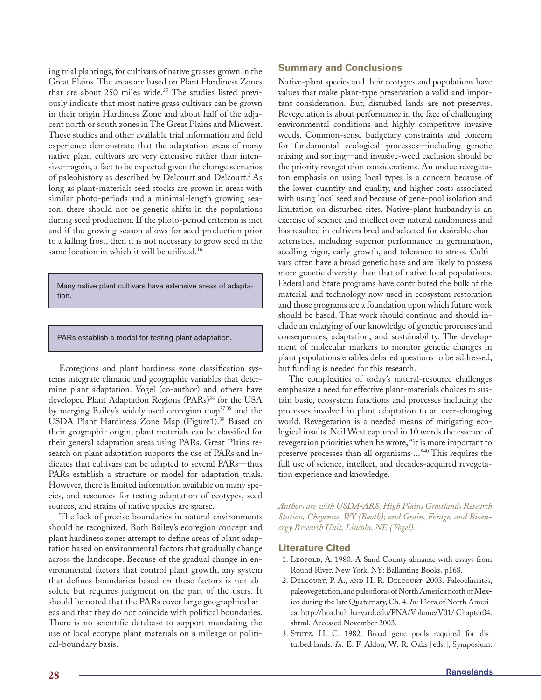ing trial plantings, for cultivars of native grasses grown in the Great Plains. The areas are based on Plant Hardiness Zones that are about 250 miles wide.<sup>35</sup> The studies listed previously indicate that most native grass cultivars can be grown in their origin Hardiness Zone and about half of the adjacent north or south zones in The Great Plains and Midwest. These studies and other available trial information and field experience demonstrate that the adaptation areas of many native plant cultivars are very extensive rather than intensive—again, a fact to be expected given the change scenarios of paleohistory as described by Delcourt and Delcourt.2 As long as plant-materials seed stocks are grown in areas with similar photo-periods and a minimal-length growing season, there should not be genetic shifts in the populations during seed production. If the photo-period criterion is met and if the growing season allows for seed production prior to a killing frost, then it is not necessary to grow seed in the same location in which it will be utilized.<sup>16</sup>

Many native plant cultivars have extensive areas of adaptation.

PARs establish a model for testing plant adaptation.

Ecoregions and plant hardiness zone classification systems integrate climatic and geographic variables that determine plant adaptation. Vogel (co-author) and others have developed Plant Adaptation Regions (PARs)<sup>36</sup> for the USA by merging Bailey's widely used ecoregion map37,38 and the USDA Plant Hardiness Zone Map (Figure1).<sup>39</sup> Based on their geographic origin, plant materials can be classified for their general adaptation areas using PARs. Great Plains research on plant adaptation supports the use of PARs and indicates that cultivars can be adapted to several PARs—thus PARs establish a structure or model for adaptation trials. However, there is limited information available on many species, and resources for testing adaptation of ecotypes, seed sources, and strains of native species are sparse.

The lack of precise boundaries in natural environments should be recognized. Both Bailey's ecoregion concept and plant hardiness zones attempt to define areas of plant adaptation based on environmental factors that gradually change across the landscape. Because of the gradual change in environmental factors that control plant growth, any system that defines boundaries based on these factors is not absolute but requires judgment on the part of the users. It should be noted that the PARs cover large geographical areas and that they do not coincide with political boundaries. There is no scientific database to support mandating the use of local ecotype plant materials on a mileage or political-boundary basis.

# **Summary and Conclusions**

Native-plant species and their ecotypes and populations have values that make plant-type preservation a valid and important consideration. But, disturbed lands are not preserves. Revegetation is about performance in the face of challenging environmental conditions and highly competitive invasive weeds. Common-sense budgetary constraints and concern for fundamental ecological processes—including genetic mixing and sorting—and invasive-weed exclusion should be the priority revegetation considerations. An undue revegetaton emphasis on using local types is a concern because of the lower quantity and quality, and higher costs associated with using local seed and because of gene-pool isolation and limitation on disturbed sites. Native-plant husbandry is an exercise of science and intellect over natural randomness and has resulted in cultivars bred and selected for desirable characteristics, including superior performance in germination, seedling vigor, early growth, and tolerance to stress. Cultivars often have a broad genetic base and are likely to possess more genetic diversity than that of native local populations. Federal and State programs have contributed the bulk of the material and technology now used in ecosystem restoration and those programs are a foundation upon which future work should be based. That work should continue and should include an enlarging of our knowledge of genetic processes and consequences, adaptation, and sustainability. The development of molecular markers to monitor genetic changes in plant populations enables debated questions to be addressed, but funding is needed for this research.

The complexities of today's natural-resource challenges emphasize a need for effective plant-materials choices to sustain basic, ecosystem functions and processes including the processes involved in plant adaptation to an ever-changing world. Revegetation is a needed means of mitigating ecological insults. Neil West captured in 10 words the essence of revegetaion priorities when he wrote, "it is more important to preserve processes than all organisms ..."40 This requires the full use of science, intellect, and decades-acquired revegetation experience and knowledge.

*Authors are with USDA-ARS, High Plains Grasslands Research Station, Cheyenne, WY (Booth); and Grain, Forage, and Bioenergy Research Unit, Lincoln, NE (Vogel).* 

### **Literature Cited**

- 1. LEOPOLD, A. 1980. A Sand County almanac with essays from Round River. New York, NY: Ballantine Books. p168.
- 2. Delcourt, P. A., and H. R. Delcourt. 2003. Paleoclimates, paleovegetation, and paleofloras of North America north of Mexico during the late Quaternary, Ch. 4. *In:* Flora of North America. http://hua.huh.harvard.edu/FNA/Volume/V01/ Chapter04. shtml. Accessed November 2003.
- 3. STUTZ, H. C. 1982. Broad gene pools required for disturbed lands. *In:* E. F. Aldon, W. R. Oaks [eds.], Symposium: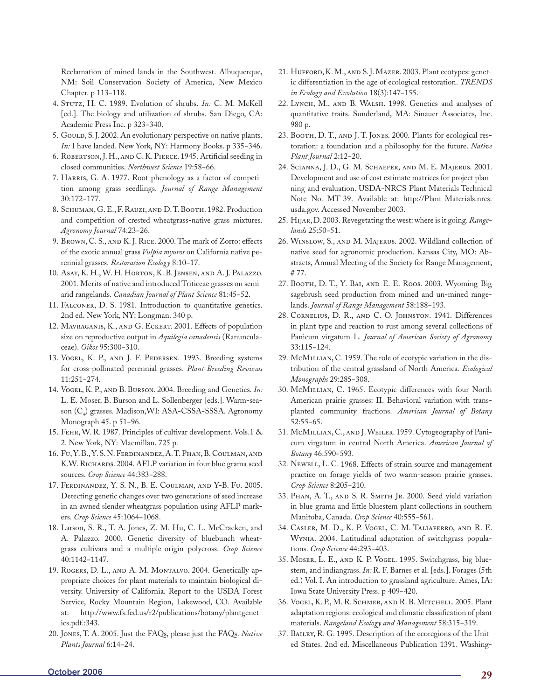Reclamation of mined lands in the Southwest. Albuquerque, NM: Soil Conservation Society of America, New Mexico Chapter. p 113−118.

- 4. Stutz, H. C. 1989. Evolution of shrubs. *In:* C. M. McKell [ed.]. The biology and utilization of shrubs. San Diego, CA: Academic Press Inc. p 323−340.
- 5. GOULD, S.J. 2002. An evolutionary perspective on native plants. *In:* I have landed. New York, NY: Harmony Books. p 335−346.
- 6. ROBERTSON, J. H., AND C. K. PIERCE. 1945. Artificial seeding in closed communities. *Northwest Science* 19:58−66.
- 7. Harris, G. A. 1977. Root phenology as a factor of competition among grass seedlings. *Journal of Range Management*  30:172−177.
- 8. Schuman, G. E., F. Rauzi, and D. T. Booth. 1982. Production and competition of crested wheatgrass-native grass mixtures. *Agronomy Journal* 74:23−26.
- 9. Brown, C. S., and K. J. Rice. 2000. The mark of Zorro: effects of the exotic annual grass *Vulpia myuros* on California native perennial grasses. *Restoration Ecology* 8:10−17.
- 10. Asay, K. H., W. H. Horton, K. B. Jensen, and A. J. Palazzo. 2001. Merits of native and introduced Triticeae grasses on semiarid rangelands. *Canadian Journal of Plant Science* 81:45−52.
- 11. Falconer, D. S. 1981. Introduction to quantitative genetics. 2nd ed. New York, NY: Longman. 340 p.
- 12. Mavraganis, K., and G. Eckert. 2001. Effects of population size on reproductive output in *Aquilegia canadensis* (Ranunculaceae). *Oikos* 95:300−310.
- 13. Vogel, K. P., and J. F. Pedersen. 1993. Breeding systems for cross-pollinated perennial grasses. *Plant Breeding Reviews* 11:251−274.
- 14. Vogel, K. P., and B. Burson. 2004. Breeding and Genetics. *In:*  L. E. Moser, B. Burson and L. Sollenberger [eds.]. Warm-season (C4) grasses. Madison,WI: ASA-CSSA-SSSA. Agronomy Monograph 45. p 51−96.
- 15. Fehr, W. R. 1987. Principles of cultivar development. Vols.1 & 2. New York, NY: Macmillan. 725 p.
- 16. Fu, Y. B., Y. S. N. Ferdinandez, A. T. Phan, B. Coulman, and K.W. RICHARDS. 2004. AFLP variation in four blue grama seed sources. *Crop Science* 44:383−288.
- 17. Ferdinandez, Y. S. N., B. E. Coulman, and Y-B. Fu. 2005. Detecting genetic changes over two generations of seed increase in an awned slender wheatgrass population using AFLP markers. *Crop Science* 45:1064−1068.
- 18. Larson, S. R., T. A. Jones, Z. M. Hu, C. L. McCracken, and A. Palazzo. 2000. Genetic diversity of bluebunch wheatgrass cultivars and a multiple-origin polycross. *Crop Science* 40:1142−1147.
- 19. Rogers, D. L., and A. M. Montalvo. 2004. Genetically appropriate choices for plant materials to maintain biological diversity. University of California. Report to the USDA Forest Service, Rocky Mountain Region, Lakewood, CO. Available at: http://www.fs.fed.us/r2/publications/botany/plantgenetics.pdf.:343.
- 20. Jones, T. A. 2005. Just the FAQs, please just the FAQs. *Native Plants Journal* 6:14−24.
- 21. HUFFORD, K. M., AND S. J. MAZER. 2003. Plant ecotypes: genetic differentiation in the age of ecological restoration. *TRENDS in Ecology and Evolution* 18(3):147−155.
- 22. LYNCH, M., AND B. WALSH. 1998. Genetics and analyses of quantitative traits. Sunderland, MA: Sinauer Associates, Inc. 980 p.
- 23. Booth, D. T., and J. T. Jones. 2000. Plants for ecological restoration: a foundation and a philosophy for the future. *Native Plant Journal* 2:12−20.
- 24. Scianna, J. D., G. M. Schaefer, and M. E. Majerus. 2001. Development and use of cost estimate matrices for project planning and evaluation. USDA-NRCS Plant Materials Technical Note No. MT-39. Available at: http://Plant-Materials.nrcs. usda.gov. Accessed November 2003.
- 25. Hijar, D. 2003. Revegetating the west: where is it going. *Rangelands* 25:50−51.
- 26. Winslow, S., and M. Majerus. 2002. Wildland collection of native seed for agronomic production. Kansas City, MO: Abstracts, Annual Meeting of the Society for Range Management, # 77.
- 27. Booth, D. T., Y. Bai, and E. E. Roos. 2003. Wyoming Big sagebrush seed production from mined and un-mined rangelands. *Journal of Range Management* 58:188−193.
- 28. Cornelius, D. R., and C. O. Johnston. 1941. Differences in plant type and reaction to rust among several collections of Panicum virgatum L. *Journal of American Society of Agronomy* 33:115−124.
- 29. McMILLIAN, C. 1959. The role of ecotypic variation in the distribution of the central grassland of North America. *Ecological Monographs* 29:285−308.
- 30. McMillian, C. 1965. Ecotypic differences with four North American prairie grasses: II. Behavioral variation with transplanted community fractions. *American Journal of Botany*  52:55−65.
- 31. McMILLIAN, C., AND J. WEILER. 1959. Cytogeography of Panicum virgatum in central North America. *American Journal of Botany* 46:590−593.
- 32. Newell, L. C. 1968. Effects of strain source and management practice on forage yields of two warm-season prairie grasses. *Crop Science* 8:205−210.
- 33. Phan, A. T., and S. R. Smith Jr. 2000. Seed yield variation in blue grama and little bluestem plant collections in southern Manitoba, Canada. *Crop Science* 40:555−561.
- 34. Casler, M. D., K. P. Vogel, C. M. Taliaferro, and R. E. Wynia. 2004. Latitudinal adaptation of switchgrass populations. *Crop Science* 44:293−403.
- 35. Moser, L. E., and K. P. Vogel. 1995. Switchgrass, big bluestem, and indiangrass. *In:* R. F. Barnes et al. [eds.]. Forages (5th ed.) Vol. I. An introduction to grassland agriculture. Ames, IA: Iowa State University Press. p 409−420.
- 36. Vogel, K. P., M. R. Schmer, and R. B. Mitchell. 2005. Plant adaptation regions: ecological and climatic classification of plant materials. *Rangeland Ecology and Management* 58:315−319.
- 37. Bailey, R. G. 1995. Description of the ecoregions of the United States. 2nd ed. Miscellaneous Publication 1391. Washing-